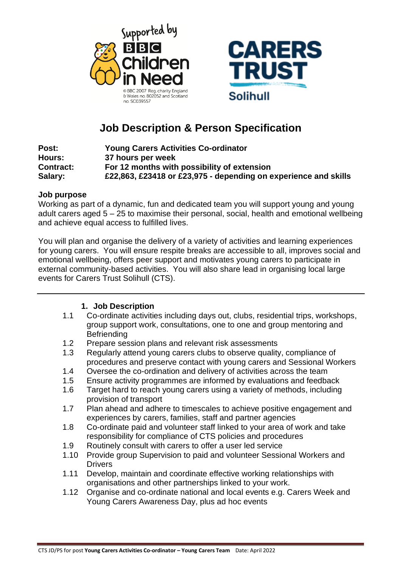



# **Job Description & Person Specification**

| Post:            | <b>Young Carers Activities Co-ordinator</b>                     |
|------------------|-----------------------------------------------------------------|
| Hours:           | 37 hours per week                                               |
| <b>Contract:</b> | For 12 months with possibility of extension                     |
| Salary:          | £22,863, £23418 or £23,975 - depending on experience and skills |

#### **Job purpose**

Working as part of a dynamic, fun and dedicated team you will support young and young adult carers aged 5 – 25 to maximise their personal, social, health and emotional wellbeing and achieve equal access to fulfilled lives.

You will plan and organise the delivery of a variety of activities and learning experiences for young carers. You will ensure respite breaks are accessible to all, improves social and emotional wellbeing, offers peer support and motivates young carers to participate in external community-based activities. You will also share lead in organising local large events for Carers Trust Solihull (CTS).

## **1. Job Description**

- 1.1 Co-ordinate activities including days out, clubs, residential trips, workshops, group support work, consultations, one to one and group mentoring and **Befriending**
- 1.2 Prepare session plans and relevant risk assessments
- 1.3 Regularly attend young carers clubs to observe quality, compliance of procedures and preserve contact with young carers and Sessional Workers
- 1.4 Oversee the co-ordination and delivery of activities across the team
- 1.5 Ensure activity programmes are informed by evaluations and feedback
- 1.6 Target hard to reach young carers using a variety of methods, including provision of transport
- 1.7 Plan ahead and adhere to timescales to achieve positive engagement and experiences by carers, families, staff and partner agencies
- 1.8 Co-ordinate paid and volunteer staff linked to your area of work and take responsibility for compliance of CTS policies and procedures
- 1.9 Routinely consult with carers to offer a user led service
- 1.10 Provide group Supervision to paid and volunteer Sessional Workers and **Drivers**
- 1.11 Develop, maintain and coordinate effective working relationships with organisations and other partnerships linked to your work.
- 1.12 Organise and co-ordinate national and local events e.g. Carers Week and Young Carers Awareness Day, plus ad hoc events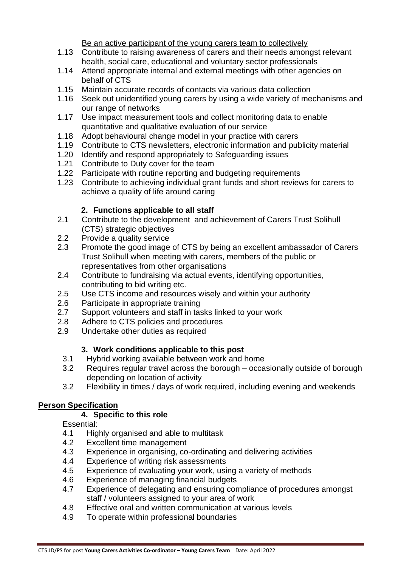Be an active participant of the young carers team to collectively

- 1.13 Contribute to raising awareness of carers and their needs amongst relevant health, social care, educational and voluntary sector professionals
- 1.14 Attend appropriate internal and external meetings with other agencies on behalf of CTS
- 1.15 Maintain accurate records of contacts via various data collection
- 1.16 Seek out unidentified young carers by using a wide variety of mechanisms and our range of networks
- 1.17 Use impact measurement tools and collect monitoring data to enable quantitative and qualitative evaluation of our service
- 1.18 Adopt behavioural change model in your practice with carers
- 1.19 Contribute to CTS newsletters, electronic information and publicity material
- 1.20 Identify and respond appropriately to Safeguarding issues
- 1.21 Contribute to Duty cover for the team
- 1.22 Participate with routine reporting and budgeting requirements
- 1.23 Contribute to achieving individual grant funds and short reviews for carers to achieve a quality of life around caring

## **2. Functions applicable to all staff**

- 2.1 Contribute to the development and achievement of Carers Trust Solihull (CTS) strategic objectives
- 2.2 Provide a quality service
- 2.3 Promote the good image of CTS by being an excellent ambassador of Carers Trust Solihull when meeting with carers, members of the public or representatives from other organisations
- 2.4 Contribute to fundraising via actual events, identifying opportunities, contributing to bid writing etc.
- 2.5 Use CTS income and resources wisely and within your authority
- 2.6 Participate in appropriate training
- 2.7 Support volunteers and staff in tasks linked to your work
- 2.8 Adhere to CTS policies and procedures
- 2.9 Undertake other duties as required

## **3. Work conditions applicable to this post**

- 3.1 Hybrid working available between work and home
- 3.2 Requires regular travel across the borough occasionally outside of borough depending on location of activity
- 3.2 Flexibility in times / days of work required, including evening and weekends

## **Person Specification**

## **4. Specific to this role**

Essential:

- 4.1 Highly organised and able to multitask
- 4.2 Excellent time management
- 4.3 Experience in organising, co-ordinating and delivering activities
- 4.4 Experience of writing risk assessments
- 4.5 Experience of evaluating your work, using a variety of methods
- 4.6 Experience of managing financial budgets
- 4.7 Experience of delegating and ensuring compliance of procedures amongst staff / volunteers assigned to your area of work
- 4.8 Effective oral and written communication at various levels
- 4.9 To operate within professional boundaries